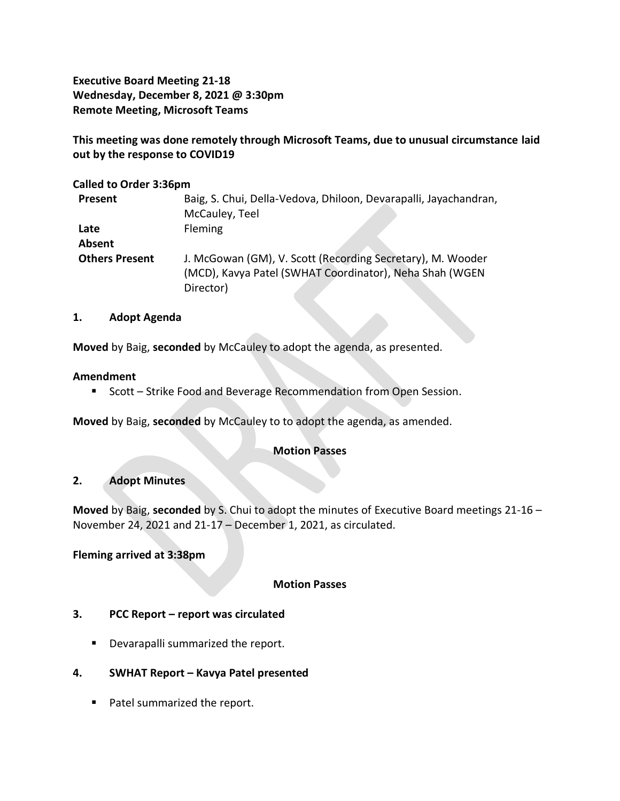**Executive Board Meeting 21-18 Wednesday, December 8, 2021 @ 3:30pm Remote Meeting, Microsoft Teams**

**This meeting was done remotely through Microsoft Teams, due to unusual circumstance laid out by the response to COVID19**

#### **Called to Order 3:36pm**

| Present               | Baig, S. Chui, Della-Vedova, Dhiloon, Devarapalli, Jayachandran, |
|-----------------------|------------------------------------------------------------------|
|                       | McCauley, Teel                                                   |
| Late                  | <b>Fleming</b>                                                   |
| Absent                |                                                                  |
| <b>Others Present</b> | J. McGowan (GM), V. Scott (Recording Secretary), M. Wooder       |
|                       | (MCD), Kavya Patel (SWHAT Coordinator), Neha Shah (WGEN          |
|                       | Director)                                                        |

#### **1. Adopt Agenda**

**Moved** by Baig, **seconded** by McCauley to adopt the agenda, as presented.

#### **Amendment**

■ Scott – Strike Food and Beverage Recommendation from Open Session.

**Moved** by Baig, **seconded** by McCauley to to adopt the agenda, as amended.

## **Motion Passes**

## **2. Adopt Minutes**

**Moved** by Baig, **seconded** by S. Chui to adopt the minutes of Executive Board meetings 21-16 – November 24, 2021 and 21-17 – December 1, 2021, as circulated.

## **Fleming arrived at 3:38pm**

#### **Motion Passes**

## **3. PCC Report – report was circulated**

- Devarapalli summarized the report.
- **4. SWHAT Report – Kavya Patel presented**
	- Patel summarized the report.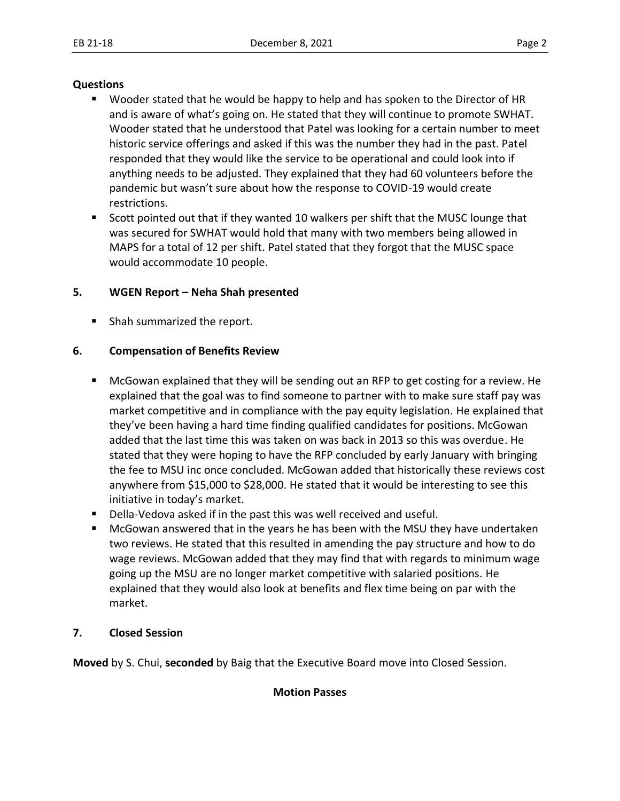#### **Questions**

- Wooder stated that he would be happy to help and has spoken to the Director of HR and is aware of what's going on. He stated that they will continue to promote SWHAT. Wooder stated that he understood that Patel was looking for a certain number to meet historic service offerings and asked if this was the number they had in the past. Patel responded that they would like the service to be operational and could look into if anything needs to be adjusted. They explained that they had 60 volunteers before the pandemic but wasn't sure about how the response to COVID-19 would create restrictions.
- Scott pointed out that if they wanted 10 walkers per shift that the MUSC lounge that was secured for SWHAT would hold that many with two members being allowed in MAPS for a total of 12 per shift. Patel stated that they forgot that the MUSC space would accommodate 10 people.

# **5. WGEN Report – Neha Shah presented**

■ Shah summarized the report.

# **6. Compensation of Benefits Review**

- McGowan explained that they will be sending out an RFP to get costing for a review. He explained that the goal was to find someone to partner with to make sure staff pay was market competitive and in compliance with the pay equity legislation. He explained that they've been having a hard time finding qualified candidates for positions. McGowan added that the last time this was taken on was back in 2013 so this was overdue. He stated that they were hoping to have the RFP concluded by early January with bringing the fee to MSU inc once concluded. McGowan added that historically these reviews cost anywhere from \$15,000 to \$28,000. He stated that it would be interesting to see this initiative in today's market.
- Della-Vedova asked if in the past this was well received and useful.
- McGowan answered that in the years he has been with the MSU they have undertaken two reviews. He stated that this resulted in amending the pay structure and how to do wage reviews. McGowan added that they may find that with regards to minimum wage going up the MSU are no longer market competitive with salaried positions. He explained that they would also look at benefits and flex time being on par with the market.

## **7. Closed Session**

**Moved** by S. Chui, **seconded** by Baig that the Executive Board move into Closed Session.

## **Motion Passes**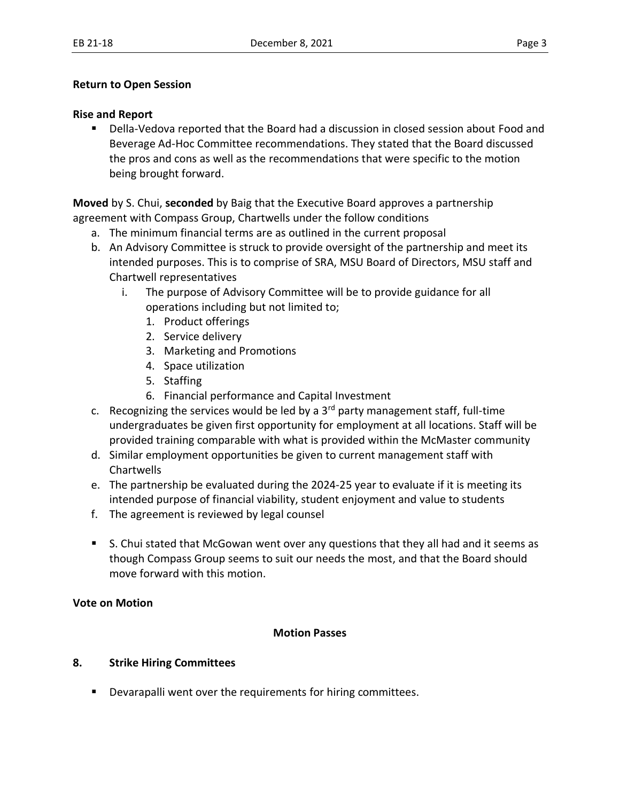## **Return to Open Session**

#### **Rise and Report**

■ Della-Vedova reported that the Board had a discussion in closed session about Food and Beverage Ad-Hoc Committee recommendations. They stated that the Board discussed the pros and cons as well as the recommendations that were specific to the motion being brought forward.

**Moved** by S. Chui, **seconded** by Baig that the Executive Board approves a partnership agreement with Compass Group, Chartwells under the follow conditions  

- a. The minimum financial terms are as outlined in the current proposal
- b. An Advisory Committee is struck to provide oversight of the partnership and meet its intended purposes. This is to comprise of SRA, MSU Board of Directors, MSU staff and Chartwell representatives
	- i. The purpose of Advisory Committee will be to provide guidance for all operations including but not limited to;
		- 1. Product offerings
		- 2. Service delivery
		- 3. Marketing and Promotions
		- 4. Space utilization
		- 5. Staffing
		- 6. Financial performance and Capital Investment
- c. Recognizing the services would be led by a  $3<sup>rd</sup>$  party management staff, full-time undergraduates be given first opportunity for employment at all locations. Staff will be provided training comparable with what is provided within the McMaster community
- d. Similar employment opportunities be given to current management staff with **Chartwells**
- e. The partnership be evaluated during the 2024-25 year to evaluate if it is meeting its intended purpose of financial viability, student enjoyment and value to students
- f. The agreement is reviewed by legal counsel
- S. Chui stated that McGowan went over any questions that they all had and it seems as though Compass Group seems to suit our needs the most, and that the Board should move forward with this motion.

## **Vote on Motion**

## **Motion Passes**

## **8. Strike Hiring Committees**

■ Devarapalli went over the requirements for hiring committees.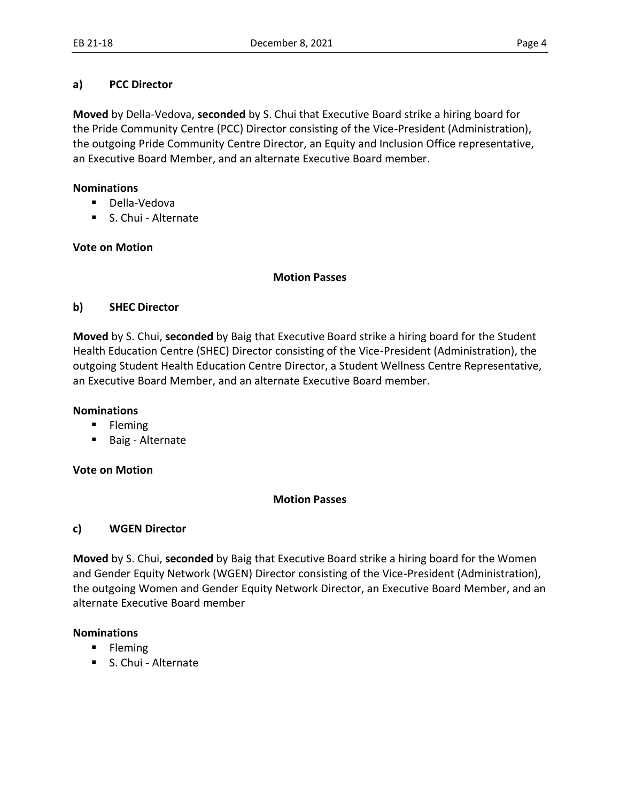# **a) PCC Director**

**Moved** by Della-Vedova, **seconded** by S. Chui that Executive Board strike a hiring board for the Pride Community Centre (PCC) Director consisting of the Vice-President (Administration), the outgoing Pride Community Centre Director, an Equity and Inclusion Office representative, an Executive Board Member, and an alternate Executive Board member.

# **Nominations**

- Della-Vedova
- S. Chui Alternate

# **Vote on Motion**

#### **Motion Passes**

# **b) SHEC Director**

**Moved** by S. Chui, **seconded** by Baig that Executive Board strike a hiring board for the Student Health Education Centre (SHEC) Director consisting of the Vice-President (Administration), the outgoing Student Health Education Centre Director, a Student Wellness Centre Representative, an Executive Board Member, and an alternate Executive Board member.

## **Nominations**

- Fleming
- Baig Alternate

## **Vote on Motion**

## **Motion Passes**

## **c) WGEN Director**

**Moved** by S. Chui, **seconded** by Baig that Executive Board strike a hiring board for the Women and Gender Equity Network (WGEN) Director consisting of the Vice-President (Administration), the outgoing Women and Gender Equity Network Director, an Executive Board Member, and an alternate Executive Board member 

## **Nominations**

- Fleming
- S. Chui Alternate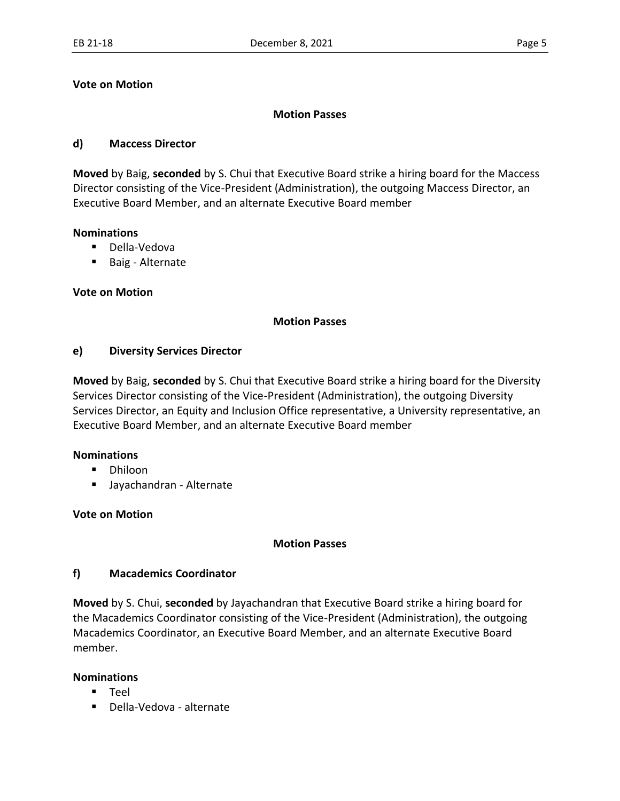#### **Vote on Motion**

## **Motion Passes**

#### **d) Maccess Director**

**Moved** by Baig, **seconded** by S. Chui that Executive Board strike a hiring board for the Maccess Director consisting of the Vice-President (Administration), the outgoing Maccess Director, an Executive Board Member, and an alternate Executive Board member 

#### **Nominations**

- Della-Vedova
- Baig Alternate

## **Vote on Motion**

#### **Motion Passes**

#### **e) Diversity Services Director**

**Moved** by Baig, **seconded** by S. Chui that Executive Board strike a hiring board for the Diversity Services Director consisting of the Vice-President (Administration), the outgoing Diversity Services Director, an Equity and Inclusion Office representative, a University representative, an Executive Board Member, and an alternate Executive Board member 

## **Nominations**

- Dhiloon
- Jayachandran Alternate

## **Vote on Motion**

#### **Motion Passes**

## **f) Macademics Coordinator**

**Moved** by S. Chui, **seconded** by Jayachandran that Executive Board strike a hiring board for the Macademics Coordinator consisting of the Vice-President (Administration), the outgoing Macademics Coordinator, an Executive Board Member, and an alternate Executive Board member.

#### **Nominations**

- Teel
- Della-Vedova alternate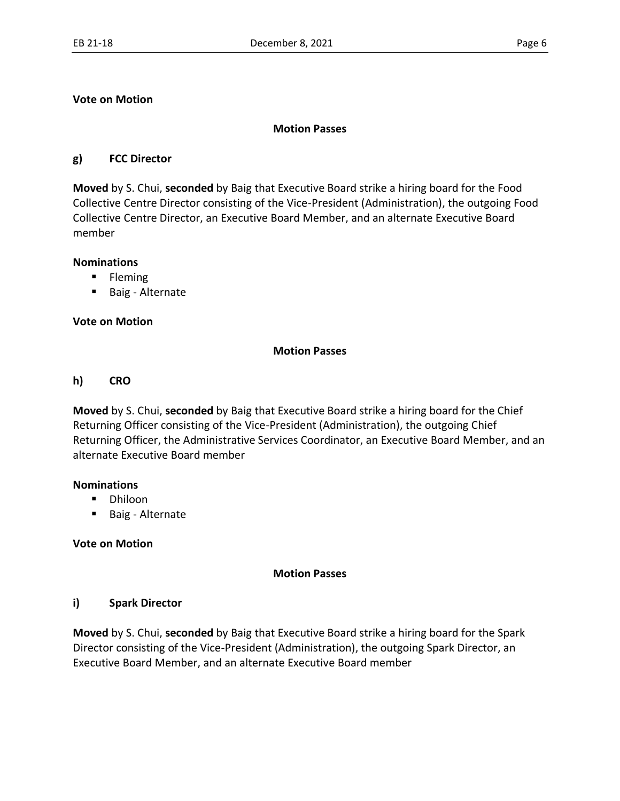# **Vote on Motion**

## **Motion Passes**

# **g) FCC Director**

**Moved** by S. Chui, **seconded** by Baig that Executive Board strike a hiring board for the Food Collective Centre Director consisting of the Vice-President (Administration), the outgoing Food Collective Centre Director, an Executive Board Member, and an alternate Executive Board member 

## **Nominations**

- **■** Fleming
- Baig Alternate

## **Vote on Motion**

## **Motion Passes**

#### **h) CRO**

**Moved** by S. Chui, **seconded** by Baig that Executive Board strike a hiring board for the Chief Returning Officer consisting of the Vice-President (Administration), the outgoing Chief Returning Officer, the Administrative Services Coordinator, an Executive Board Member, and an alternate Executive Board member 

#### **Nominations**

- Dhiloon
- Baig Alternate

## **Vote on Motion**

## **Motion Passes**

## **i) Spark Director**

**Moved** by S. Chui, **seconded** by Baig that Executive Board strike a hiring board for the Spark Director consisting of the Vice-President (Administration), the outgoing Spark Director, an Executive Board Member, and an alternate Executive Board member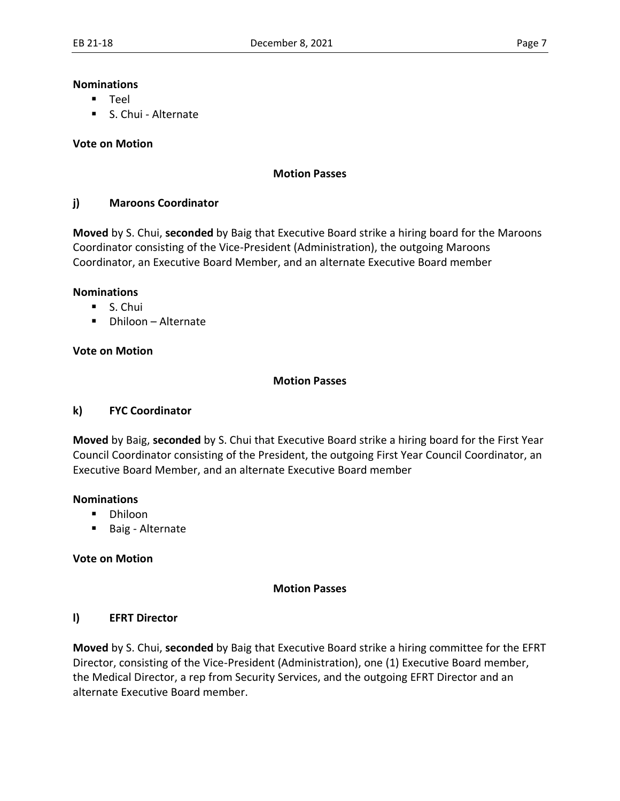#### **Nominations**

- Teel
- S. Chui Alternate

#### **Vote on Motion**

#### **Motion Passes**

## **j) Maroons Coordinator**

**Moved** by S. Chui, **seconded** by Baig that Executive Board strike a hiring board for the Maroons Coordinator consisting of the Vice-President (Administration), the outgoing Maroons Coordinator, an Executive Board Member, and an alternate Executive Board member 

#### **Nominations**

- S. Chui
- Dhiloon Alternate

#### **Vote on Motion**

#### **Motion Passes**

#### **k) FYC Coordinator**

**Moved** by Baig, **seconded** by S. Chui that Executive Board strike a hiring board for the First Year Council Coordinator consisting of the President, the outgoing First Year Council Coordinator, an Executive Board Member, and an alternate Executive Board member 

#### **Nominations**

- Dhiloon
- Baig Alternate

#### **Vote on Motion**

#### **Motion Passes**

#### **l) EFRT Director**

**Moved** by S. Chui, **seconded** by Baig that Executive Board strike a hiring committee for the EFRT Director, consisting of the Vice-President (Administration), one (1) Executive Board member, the Medical Director, a rep from Security Services, and the outgoing EFRT Director and an alternate Executive Board member.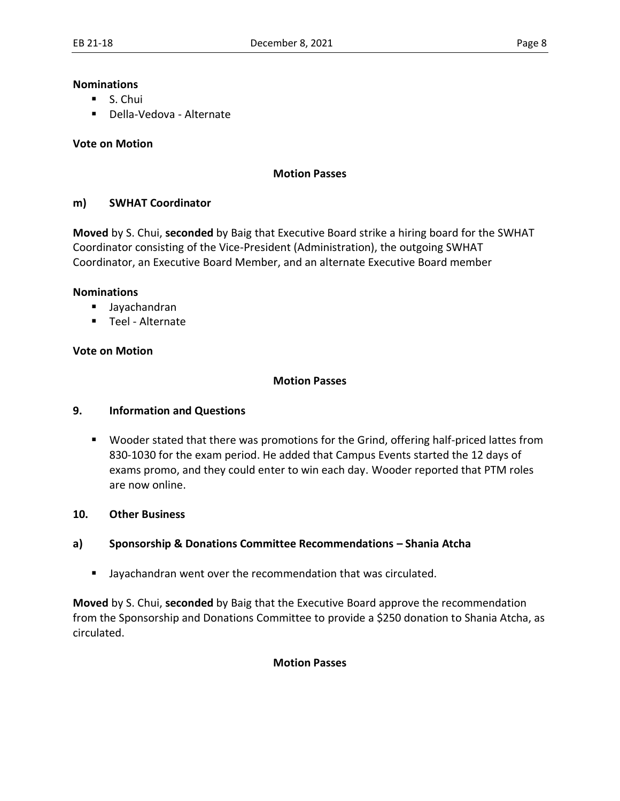#### **Nominations**

- S. Chui
- Della-Vedova Alternate

## **Vote on Motion**

#### **Motion Passes**

## **m) SWHAT Coordinator**

**Moved** by S. Chui, **seconded** by Baig that Executive Board strike a hiring board for the SWHAT Coordinator consisting of the Vice-President (Administration), the outgoing SWHAT Coordinator, an Executive Board Member, and an alternate Executive Board member 

#### **Nominations**

- Jayachandran
- Teel Alternate

## **Vote on Motion**

## **Motion Passes**

## **9. Information and Questions**

■ Wooder stated that there was promotions for the Grind, offering half-priced lattes from 830-1030 for the exam period. He added that Campus Events started the 12 days of exams promo, and they could enter to win each day. Wooder reported that PTM roles are now online.

## **10. Other Business**

## **a) Sponsorship & Donations Committee Recommendations – Shania Atcha**

■ Jayachandran went over the recommendation that was circulated.

**Moved** by S. Chui, **seconded** by Baig that the Executive Board approve the recommendation from the Sponsorship and Donations Committee to provide a \$250 donation to Shania Atcha, as circulated.

#### **Motion Passes**